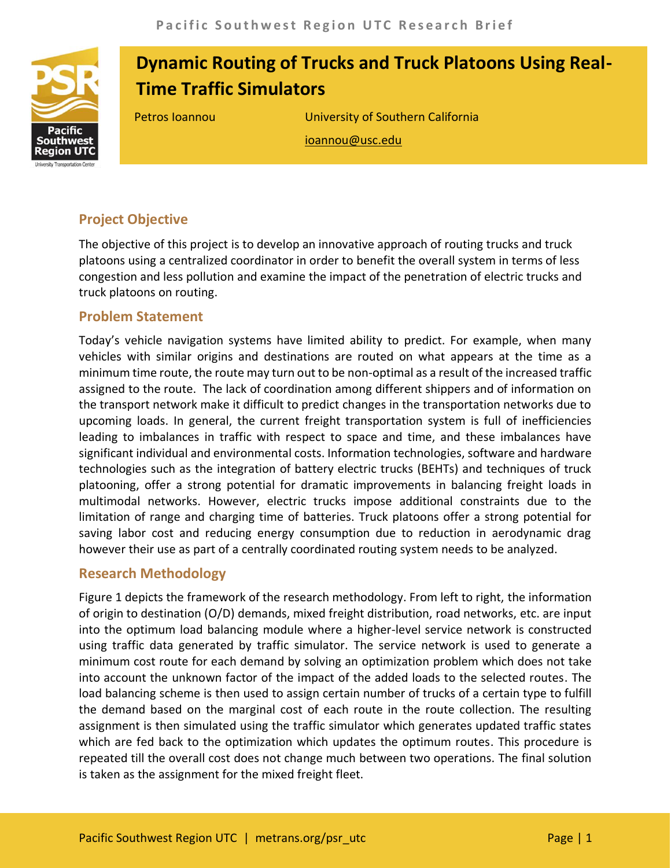

# **Dynamic Routing of Trucks and Truck Platoons Using Real-Time Traffic Simulators**

Petros Ioannou University of Southern California ioannou@usc.edu

# **Project Objective**

The objective of this project is to develop an innovative approach of routing trucks and truck platoons using a centralized coordinator in order to benefit the overall system in terms of less congestion and less pollution and examine the impact of the penetration of electric trucks and truck platoons on routing.

#### **Problem Statement**

Today's vehicle navigation systems have limited ability to predict. For example, when many vehicles with similar origins and destinations are routed on what appears at the time as a minimum time route, the route may turn out to be non-optimal as a result of the increased traffic assigned to the route. The lack of coordination among different shippers and of information on the transport network make it difficult to predict changes in the transportation networks due to upcoming loads. In general, the current freight transportation system is full of inefficiencies leading to imbalances in traffic with respect to space and time, and these imbalances have significant individual and environmental costs. Information technologies, software and hardware technologies such as the integration of battery electric trucks (BEHTs) and techniques of truck platooning, offer a strong potential for dramatic improvements in balancing freight loads in multimodal networks. However, electric trucks impose additional constraints due to the limitation of range and charging time of batteries. Truck platoons offer a strong potential for saving labor cost and reducing energy consumption due to reduction in aerodynamic drag however their use as part of a centrally coordinated routing system needs to be analyzed.

### **Research Methodology**

Figure 1 depicts the framework of the research methodology. From left to right, the information of origin to destination (O/D) demands, mixed freight distribution, road networks, etc. are input into the optimum load balancing module where a higher-level service network is constructed using traffic data generated by traffic simulator. The service network is used to generate a minimum cost route for each demand by solving an optimization problem which does not take into account the unknown factor of the impact of the added loads to the selected routes. The load balancing scheme is then used to assign certain number of trucks of a certain type to fulfill the demand based on the marginal cost of each route in the route collection. The resulting assignment is then simulated using the traffic simulator which generates updated traffic states which are fed back to the optimization which updates the optimum routes. This procedure is repeated till the overall cost does not change much between two operations. The final solution is taken as the assignment for the mixed freight fleet.